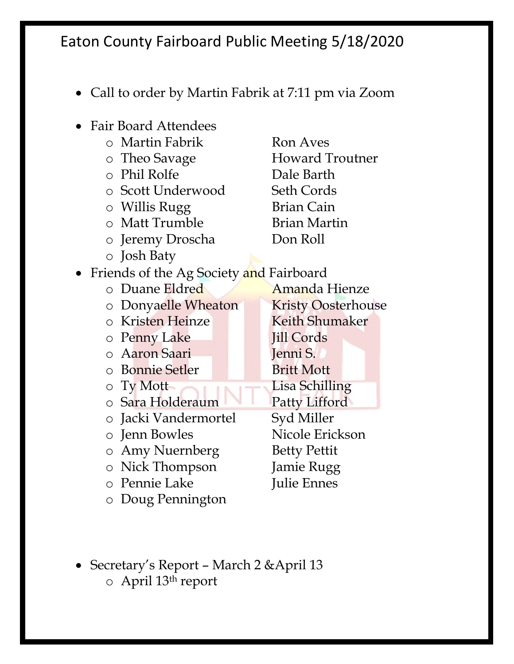- Call to order by Martin Fabrik at 7:11 pm via Zoom
- Fair Board Attendees o Martin Fabrik Ron Aves o Theo Savage **Howard Troutner** o Phil Rolfe Dale Barth o Scott Underwood Seth Cords o Willis Rugg Brian Cain o Matt Trumble Brian Martin o Jeremy Droscha Don Roll o Josh Baty • Friends of the Ag Society and Fairboard o Duane Eldred Amanda Hienze o Donyaelle Wheaton Kristy Oosterhouse o Kristen Heinze Keith Shumaker o Penny Lake Jill Cords o Aaron Saari Jenni S. o Bonnie Setler Britt Mott o Ty Mott o Sara Holderaum Patty Lifford o Jacki Vandermortel Syd Miller o Jenn Bowles Nicole Erickson o Amy Nuernberg Betty Pettit o Nick Thompson Jamie Rugg o Pennie Lake Julie Ennes o Doug Pennington
- Secretary's Report March 2 & April 13 o April 13th report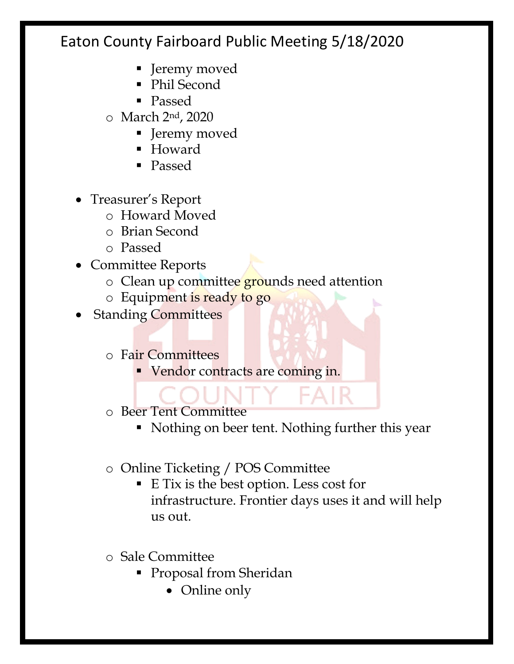- Jeremy moved
- Phil Second
- § Passed
- o March 2nd, 2020
	- Jeremy moved
	- Howard
	- § Passed
- Treasurer's Report
	- o Howard Moved
	- o Brian Second
	- o Passed
- Committee Reports
	- o Clean up committee grounds need attention
	- o Equipment is ready to go
- **Standing Committees** 
	- o Fair Committees
		- Vendor contracts are coming in.
	- o Beer Tent Committee
		- Nothing on beer tent. Nothing further this year
	- o Online Ticketing / POS Committee
		- E Tix is the best option. Less cost for infrastructure. Frontier days uses it and will help us out.
	- o Sale Committee
		- Proposal from Sheridan
			- Online only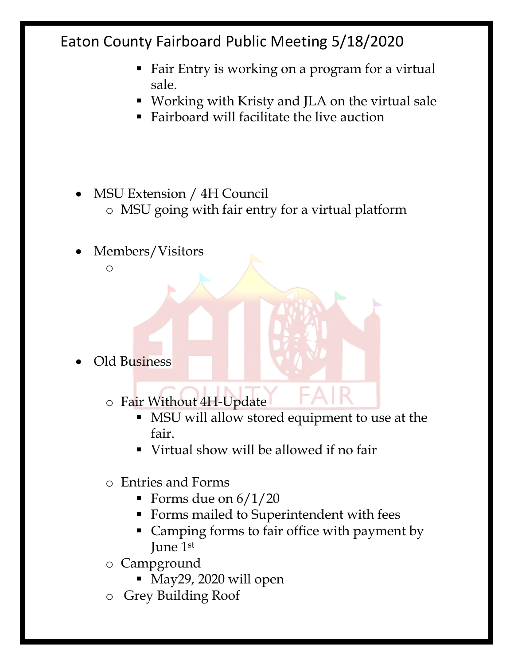- Fair Entry is working on a program for a virtual sale.
- Working with Kristy and JLA on the virtual sale
- Fairboard will facilitate the live auction
- MSU Extension / 4H Council
	- o MSU going with fair entry for a virtual platform
- Members/Visitors
	- o

- Old Business
	- o Fair Without 4H-Update
		- MSU will allow stored equipment to use at the fair.
		- § Virtual show will be allowed if no fair
	- o Entries and Forms
		- Forms due on  $6/1/20$
		- § Forms mailed to Superintendent with fees
		- Camping forms to fair office with payment by June 1st
	- o Campground
		- § May29, 2020 will open
	- o Grey Building Roof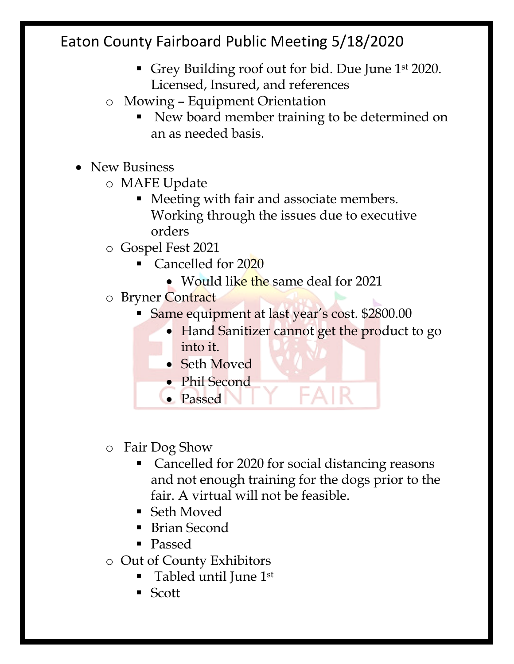- Grey Building roof out for bid. Due June 1<sup>st</sup> 2020. Licensed, Insured, and references
- o Mowing Equipment Orientation
	- New board member training to be determined on an as needed basis.
- New Business
	- o MAFE Update
		- Meeting with fair and associate members. Working through the issues due to executive orders
	- o Gospel Fest 2021
		- § Cancelled for 2020
			- Would like the same deal for 2021
	- o Bryner Contract
		- § Same equipment at last year's cost. \$2800.00
			- Hand Sanitizer cannot get the product to go into it.

FAIR

- Seth Moved
- Phil Second
- Passed
- o Fair Dog Show
	- § Cancelled for 2020 for social distancing reasons and not enough training for the dogs prior to the fair. A virtual will not be feasible.
	- Seth Moved
	- Brian Second
	- Passed
- o Out of County Exhibitors
	- § Tabled until June 1st
	- § Scott